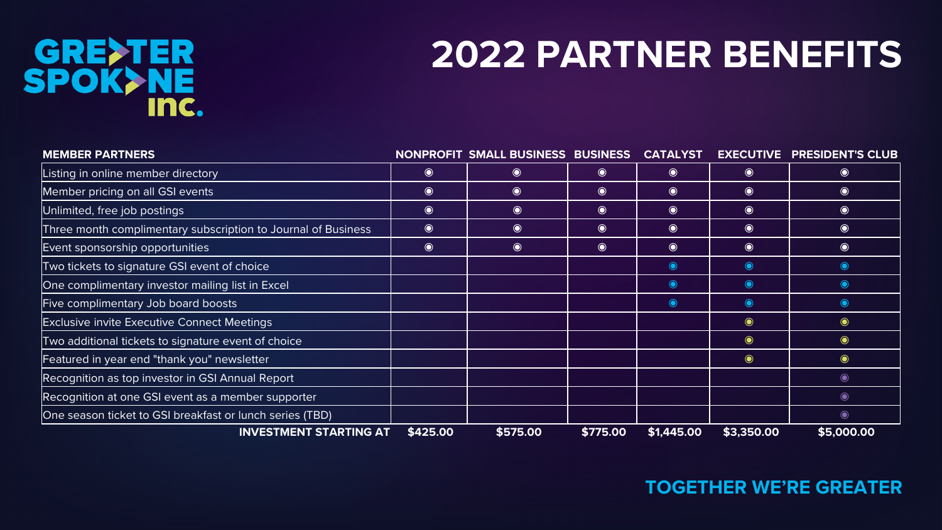## GRE>TER<br>SPOK>NE<br>Inc.

## **2022 PARTNER BENEFITS**

| <b>MEMBER PARTNERS</b>                                        |           | NONPROFIT SMALL BUSINESS BUSINESS                |           | <b>CATALYST</b> |            | <b>EXECUTIVE PRESIDENT'S CLUB</b> |
|---------------------------------------------------------------|-----------|--------------------------------------------------|-----------|-----------------|------------|-----------------------------------|
| Listing in online member directory                            | $\bullet$ | $\bullet$                                        | $\bullet$ | $\bullet$       | $\bullet$  | $\bullet$                         |
| Member pricing on all GSI events                              | $\bullet$ | $\bullet$                                        | $\odot$   | $\bullet$       | $\bullet$  | $\bullet$                         |
| Unlimited, free job postings                                  | $\bullet$ | $\begin{matrix} \bullet \\ \bullet \end{matrix}$ | $\bullet$ | $\bullet$       | $\bullet$  | $\bullet$                         |
| Three month complimentary subscription to Journal of Business | $\bullet$ | $\begin{matrix} \bullet \\ \bullet \end{matrix}$ | $\bullet$ | $\bullet$       | $\odot$    | $\bullet$                         |
| Event sponsorship opportunities                               | $\bullet$ | $\begin{matrix} \bullet \\ \bullet \end{matrix}$ | $\bullet$ | $\bullet$       | $\bullet$  | $\bullet$                         |
| Two tickets to signature GSI event of choice                  |           |                                                  |           | $\bullet$       | $\bullet$  | $\bullet$                         |
| One complimentary investor mailing list in Excel              |           |                                                  |           | $\bullet$       | $\bullet$  | $\bullet$                         |
| Five complimentary Job board boosts                           |           |                                                  |           | $\bullet$       | $\bullet$  | $\bullet$                         |
| <b>Exclusive invite Executive Connect Meetings</b>            |           |                                                  |           |                 | $\bullet$  | $\bullet$                         |
| Two additional tickets to signature event of choice           |           |                                                  |           |                 | $\bullet$  | $\bullet$                         |
| Featured in year end "thank you" newsletter                   |           |                                                  |           |                 | $\bullet$  | $\bullet$                         |
| Recognition as top investor in GSI Annual Report              |           |                                                  |           |                 |            | $\bullet$                         |
| Recognition at one GSI event as a member supporter            |           |                                                  |           |                 |            | $\bullet$                         |
| One season ticket to GSI breakfast or lunch series (TBD)      |           |                                                  |           |                 |            | $\bullet$                         |
| <b>INVESTMENT STARTING AT</b>                                 | \$425.00  | \$575.00                                         | \$775.00  | \$1,445.00      | \$3,350.00 | \$5,000.00                        |